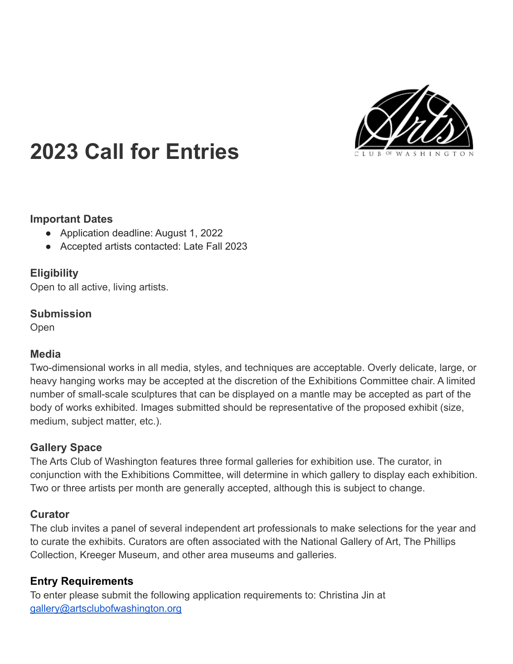

# **2023 Call for Entries**

#### **Important Dates**

- Application deadline: August 1, 2022
- Accepted artists contacted: Late Fall 2023

### **Eligibility**

Open to all active, living artists.

#### **Submission**

**Open** 

### **Media**

Two-dimensional works in all media, styles, and techniques are acceptable. Overly delicate, large, or heavy hanging works may be accepted at the discretion of the Exhibitions Committee chair. A limited number of small-scale sculptures that can be displayed on a mantle may be accepted as part of the body of works exhibited. Images submitted should be representative of the proposed exhibit (size, medium, subject matter, etc.).

### **Gallery Space**

The Arts Club of Washington features three formal galleries for exhibition use. The curator, in conjunction with the Exhibitions Committee, will determine in which gallery to display each exhibition. Two or three artists per month are generally accepted, although this is subject to change.

### **Curator**

The club invites a panel of several independent art professionals to make selections for the year and to curate the exhibits. Curators are often associated with the National Gallery of Art, The Phillips Collection, Kreeger Museum, and other area museums and galleries.

# **Entry Requirements**

To enter please submit the following application requirements to: Christina Jin at [gallery@artsclubofwashington.org](mailto:gallery@artsclubofwashington.org)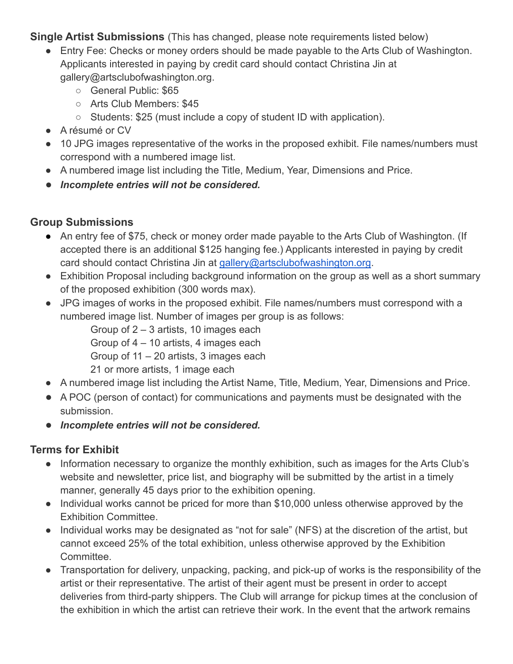**Single Artist Submissions** (This has changed, please note requirements listed below)

- Entry Fee: Checks or money orders should be made payable to the Arts Club of Washington. Applicants interested in paying by credit card should contact Christina Jin at gallery@artsclubofwashington.org.
	- General Public: \$65
	- Arts Club Members: \$45
	- Students: \$25 (must include a copy of student ID with application).
- A résumé or CV
- 10 JPG images representative of the works in the proposed exhibit. File names/numbers must correspond with a numbered image list.
- A numbered image list including the Title, Medium, Year, Dimensions and Price.
- *Incomplete entries will not be considered.*

### **Group Submissions**

- An entry fee of \$75, check or money order made payable to the Arts Club of Washington. (If accepted there is an additional \$125 hanging fee.) Applicants interested in paying by credit card should contact Christina Jin at [gallery@artsclubofwashington.org](mailto:gallery@artsclubofwashington.org).
- Exhibition Proposal including background information on the group as well as a short summary of the proposed exhibition (300 words max).
- JPG images of works in the proposed exhibit. File names/numbers must correspond with a numbered image list. Number of images per group is as follows:

Group of 2 – 3 artists, 10 images each

Group of 4 – 10 artists, 4 images each

Group of 11 – 20 artists, 3 images each

21 or more artists, 1 image each

- A numbered image list including the Artist Name, Title, Medium, Year, Dimensions and Price.
- A POC (person of contact) for communications and payments must be designated with the submission.
- *Incomplete entries will not be considered.*

### **Terms for Exhibit**

- **●** Information necessary to organize the monthly exhibition, such as images for the Arts Club's website and newsletter, price list, and biography will be submitted by the artist in a timely manner, generally 45 days prior to the exhibition opening.
- Individual works cannot be priced for more than \$10,000 unless otherwise approved by the Exhibition Committee.
- Individual works may be designated as "not for sale" (NFS) at the discretion of the artist, but cannot exceed 25% of the total exhibition, unless otherwise approved by the Exhibition Committee.
- Transportation for delivery, unpacking, packing, and pick-up of works is the responsibility of the artist or their representative. The artist of their agent must be present in order to accept deliveries from third-party shippers. The Club will arrange for pickup times at the conclusion of the exhibition in which the artist can retrieve their work. In the event that the artwork remains